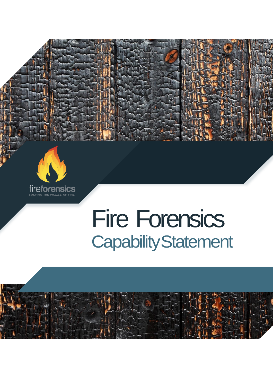

 $\frac{1}{2}$ 

# Fire Forensics CapabilityStatement

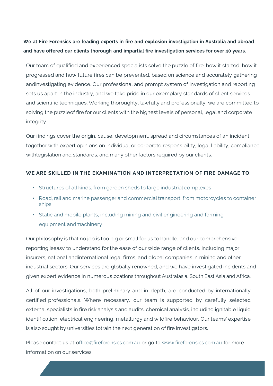# **We at Fire Forensics are leading experts in fire and explosion investigation in Australia and abroad and have offered our clients thorough and impartial fire investigation services for over 40 years.**

Our team of qualified and experienced specialists solve the puzzle of fire; how it started, how it progressed and how future fires can be prevented, based on science and accurately gathering andinvestigating evidence. Our professional and prompt system of investigation and reporting sets us apart in the industry, and we take pride in our exemplary standards of client services and scientific techniques. Working thoroughly, lawfully and professionally, we are committed to solving the puzzleof fire for our clients with the highest levels of personal, legal and corporate integrity.

Our findings cover the origin, cause, development, spread and circumstances of an incident, together with expert opinions on individual or corporate responsibility, legal liability, compliance withlegislation and standards, and many other factors required by our clients.

# **WE ARE SKILLED IN THE EXAMINATION AND INTERPRETATION OF FIRE DAMAGE TO:**

- Structures of all kinds, from garden sheds to large industrial complexes
- Road, rail and marine passenger and commercial transport, from motorcycles to container ships
- Static and mobile plants, including mining and civil engineering and farming equipment andmachinery

Our philosophy is that no job is too big or small for us to handle, and our comprehensive reporting iseasy to understand for the ease of our wide range of clients, including major insurers, national andinternational legal firms, and global companies in mining and other industrial sectors. Our services are globally renowned, and we have investigated incidents and given expert evidence in numerouslocations throughout Australasia, South East Asia and Africa.

All of our investigations, both preliminary and in-depth, are conducted by internationally certified professionals. Where necessary, our team is supported by carefully selected external specialists in fire risk analysis and audits, chemical analysis, including ignitable liquid identification, electrical engineering, metallurgy and wildfire behaviour. Our teams' expertise is also sought by universities totrain the next generation of fire investigators.

Please contact us at [office@fireforensics.com.au](mailto:office@fireforensics.com.au) or go to [www.fireforensics.com.au](http://www.fireforensics.com.au/) for more information on our services.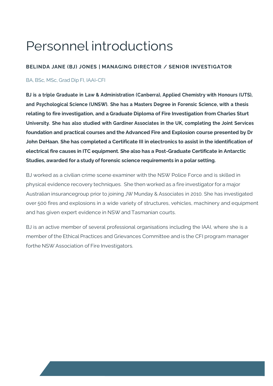# Personnel introductions

# **BELINDA JANE (BJ) JONES | MANAGING DIRECTOR / SENIOR INVESTIGATOR**

# BA, BSc, MSc, Grad Dip FI, IAAI-CFI

**BJ is a triple Graduate in Law & Administration (Canberra), Applied Chemistry with Honours (UTS), and Psychological Science (UNSW). She has a Masters Degree in Forensic Science, with a thesis relating to fire investigation, and a Graduate Diploma of Fire Investigation from Charles Sturt University. She has also studied with Gardiner Associates in the UK, completing the Joint Services foundation and practical courses and the Advanced Fire and Explosion course presented by Dr John DeHaan. She has completed a Certificate III in electronics to assist in the identification of electrical fire causes in ITC equipment. She also has a Post-Graduate Certificate in Antarctic Studies, awarded for a study offorensic science requirements in a polar setting.**

BJ worked as a civilian crime scene examiner with the NSW Police Force and is skilled in physical evidence recovery techniques. She then worked as a fire investigator for a major Australian insurancegroup prior to joining JW Munday & Associates in 2010. She has investigated over 500 fires and explosions in a wide variety of structures, vehicles, machinery and equipment and has given expert evidence in NSW and Tasmanian courts.

BJ is an active member of several professional organisations including the IAAI, where she is a member of the Ethical Practices and Grievances Committee and is the CFI program manager forthe NSW Association of Fire Investigators.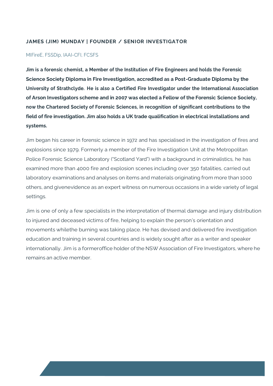#### **JAMES (JIM) MUNDAY | FOUNDER / SENIOR INVESTIGATOR**

#### MIFireE, FSSDip, IAAI-CFI, FCSFS

**Jim is a forensic chemist, a Member of the Institution of Fire Engineers and holds the Forensic Science Society Diploma in Fire Investigation, accredited as a Post-Graduate Diploma by the University of Strathclyde. He is also a Certified Fire Investigator under the International Association of Arson Investigators scheme and in 2007 was elected a Fellow of the Forensic Science Society, now the Chartered Society of Forensic Sciences, in recognition of significant contributions to the field of fire investigation. Jim also holds a UK trade qualification in electrical installations and systems.**

Jim began his career in forensic science in 1972 and has specialised in the investigation of fires and explosions since 1979. Formerly a member of the Fire Investigation Unit at the Metropolitan Police Forensic Science Laboratory ("Scotland Yard") with a background in criminalistics, he has examined more than 4000 fire and explosion scenes including over 350 fatalities, carried out laboratory examinations and analyses on items and materials originating from more than 1000 others, and givenevidence as an expert witness on numerous occasions in a wide variety of legal settings.

Jim is one of only a few specialists in the interpretation of thermal damage and injury distribution to injured and deceased victims of fire, helping to explain the person's orientation and movements whilethe burning was taking place. He has devised and delivered fire investigation education and training in several countries and is widely sought after as a writer and speaker internationally. Jim is a formeroffice holder of the NSW Association of Fire Investigators, where he remains an active member.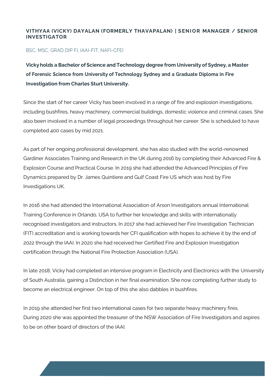# **VITHYAA (VICKY) DAYALAN (FORMERLY THAVAPALAN) | S EN I O R MANAGER / SENIOR INVESTIGATOR**

#### BSC, MSC, GRAD DIP FI, IAAI-FIT, NAFI-CFEI

**Vickyholds a Bachelor ofScience and Technology degree from University of Sydney, a Master of Forensic Science from University of Technology Sydney and a Graduate Diploma in Fire Investigation from Charles Sturt University.**

Since the start of her career Vicky has been involved in a range of fire and explosion investigations, including bushfires, heavy machinery, commercial buildings, domestic violence and criminal cases. She also been involved in a number of legal proceedings throughout her career. She is scheduled to have completed 400 cases by mid 2021.

As part of her ongoing professional development, she has also studied with the world-renowned Gardiner Associates Training and Research in the UK during 2016 by completing their Advanced Fire & Explosion Course and Practical Course. In 2019 she had attended the Advanced Principles of Fire Dynamics prepared by Dr. James Quintiere and Gulf Coast Fire US which was host by Fire Investigations UK.

In 2016 she had attended the International Association of Arson Investigators annual International Training Conference in Orlando, USA to further her knowledge and skills with internationally recognised investigators and instructors. In 2017 she had achieved her Fire Investigation Technician (FIT) accreditation and is working towards her CFI qualification with hopes to achieve it by the end of 2022 through the IAAI. In 2020 she had received her Certified Fire and Explosion Investigation certification through the National Fire Protection Association (USA).

In late 2018, Vicky had completed an intensive program in Electricity and Electronics with the University of South Australia, gaining a Distinction in her final examination. She now completing further study to become an electrical engineer. On top of this she also dabbles in bushfires.

In 2019 she attended her first two international cases for two separate heavy machinery fires. During 2020 she was appointed the treasurer of the NSW Association of Fire Investigators and aspires to be on other board of directors of the IAAI.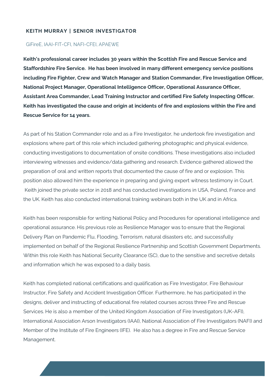#### **KEITH MURRAY | SENIOR INVESTIGATOR**

#### GiFireE, IAAI-FIT-CFI, NAFI-CFEI, APAEWE

**Keith's professional career includes 30 years within the Scottish Fire and Rescue Service and Staffordshire Fire Service. He has been involved in many different emergency service positions including Fire Fighter, Crew and Watch Manager and Station Commander, Fire Investigation Officer, National Project Manager, Operational Intelligence Officer, Operational Assurance Officer, Assistant Area Commander, Lead Training Instructor and certified Fire Safety Inspecting Officer. Keith has investigated the cause and origin at incidents of fire and explosions within the Fire and Rescue Service for 14 years.**

As part of his Station Commander role and as a Fire Investigator, he undertook fire investigation and explosions where part of this role which included gathering photographic and physical evidence, conducting investigations to documentation of onsite conditions. These investigations also included interviewing witnesses and evidence/data gathering and research. Evidence gathered allowed the preparation of oral and written reports that documented the cause of fire and or explosion. This position also allowed him the experience in preparing and giving expert witness testimony in Court. Keith joined the private sector in 2018 and has conducted investigations in USA, Poland, France and the UK. Keith has also conducted international training webinars both in the UK and in Africa.

Keith has been responsible for writing National Policy and Procedures for operational intelligence and operational assurance. His previous role as Resilience Manager was to ensure that the Regional Delivery Plan on Pandemic Flu, Flooding, Terrorism, natural disasters etc, and successfully implemented on behalf of the Regional Resilience Partnership and Scottish Government Departments. Within this role Keith has National Security Clearance (SC), due to the sensitive and secretive details and information which he was exposed to a daily basis.

Keith has completed national certifications and qualification as Fire Investigator, Fire Behaviour Instructor, Fire Safety and Accident Investigation Officer. Furthermore, he has participated in the designs, deliver and instructing of educational fire related courses across three Fire and Rescue Services. He is also a member of the United Kingdom Association of Fire Investigators (UK-AFI), International Association Arson Investigators (IAAI), National Association of Fire Investigators (NAFI) and Member of the Institute of Fire Engineers (IFE). He also has a degree in Fire and Rescue Service Management.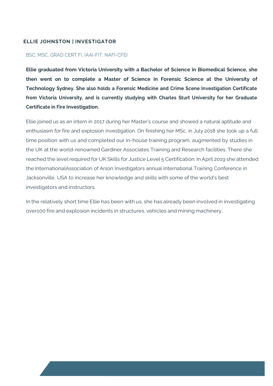# **ELLIE JOHNSTON | INVESTIGATOR**

#### BSC, MSC, GRAD CERT FI, IAAI-FIT, NAFI-CFEI

**Ellie graduated from Victoria University with a Bachelor of Science in Biomedical Science, she then went on to complete a Master of Science in Forensic Science at the University of Technology Sydney. She also holds a Forensic Medicine and Crime Scene Investigation Certificate from Victoria University, and is currently studying with Charles Sturt University for her Graduate Certificate in Fire Investigation.**

Ellie joined us as an intern in 2017 during her Master's course and showed a natural aptitude and enthusiasm for fire and explosion investigation. On finishing her MSc, in July 2018 she took up a full time position with us and completed our in-house training program, augmented by studies in the UK at the world-renowned Gardiner Associates Training and Research facilities. There she reached the level required for UK Skills for Justice Level 5 Certification. In April 2019 she attended the InternationalAssociation of Arson Investigators annual International Training Conference in Jacksonville, USA to increase her knowledge and skills with some of the world's best investigators and instructors.

In the relatively short time Ellie has been with us, she has already been involved in investigating over100 fire and explosion incidents in structures, vehicles and mining machinery.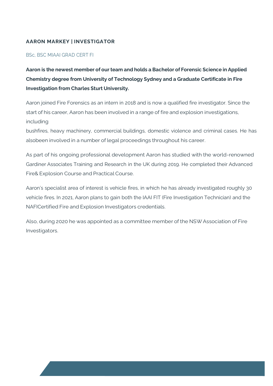# **AARON MARKEY | INVESTIGATOR**

# BSc, BSC MIAAI GRAD CERT FI

**Aaron is the newest member of ourteam and holds a Bachelor of Forensic Science in Applied Chemistry degree from University of Technology Sydney and a Graduate Certificate in Fire Investigation from Charles Sturt University.**

Aaron joined Fire Forensics as an intern in 2018 and is now a qualified fire investigator. Since the start of his career, Aaron has been involved in a range of fire and explosion investigations, including

bushfires, heavy machinery, commercial buildings, domestic violence and criminal cases. He has alsobeen involved in a number of legal proceedings throughout his career.

As part of his ongoing professional development Aaron has studied with the world-renowned Gardiner Associates Training and Research in the UK during 2019. He completed their Advanced Fire& Explosion Course and Practical Course.

Aaron's specialist area of interest is vehicle fires, in which he has already investigated roughly 30 vehicle fires. In 2021, Aaron plans to gain both the IAAI FIT (Fire Investigation Technician) and the NAFICertified Fire and Explosion Investigators credentials.

Also, during 2020 he was appointed as a committee member of the NSWAssociation of Fire Investigators.